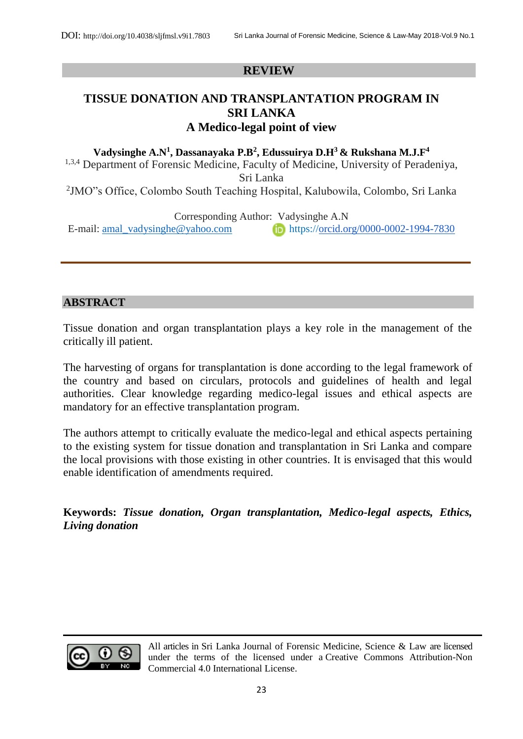### **REVIEW**

# **TISSUE DONATION AND TRANSPLANTATION PROGRAM IN SRI LANKA A Medico-legal point of view**

**Vadysinghe A.N<sup>1</sup> , Dassanayaka P.B<sup>2</sup> , Edussuirya D.H<sup>3</sup>& Rukshana M.J.F<sup>4</sup>** <sup>1,3,4</sup> Department of Forensic Medicine, Faculty of Medicine, University of Peradeniya, Sri Lanka 2 JMO"s Office, Colombo South Teaching Hospital, Kalubowila, Colombo, Sri Lanka

Corresponding Author: Vadysinghe A.N

E-mail: [amal\\_vadysinghe@yahoo.com](mailto:amal_vadysinghe@yahoo.com) https:/[/orcid.org/0000-0002-1994-7830](http://orcid.org/0000-0002-1994-7830)

### **ABSTRACT**

Tissue donation and organ transplantation plays a key role in the management of the critically ill patient.

The harvesting of organs for transplantation is done according to the legal framework of the country and based on circulars, protocols and guidelines of health and legal authorities. Clear knowledge regarding medico-legal issues and ethical aspects are mandatory for an effective transplantation program.

The authors attempt to critically evaluate the medico-legal and ethical aspects pertaining to the existing system for tissue donation and transplantation in Sri Lanka and compare the local provisions with those existing in other countries. It is envisaged that this would enable identification of amendments required.

**Keywords:** *Tissue donation, Organ transplantation, Medico-legal aspects, Ethics, Living donation*



All articles in Sri Lanka Journal of Forensic Medicine, Science & Law are licensed under the terms of the licensed under a [Creative Commons Attribution-Non](http://creativecommons.org/licenses/by-nc/4.0/)  [Commercial 4.0 International License.](http://creativecommons.org/licenses/by-nc/4.0/)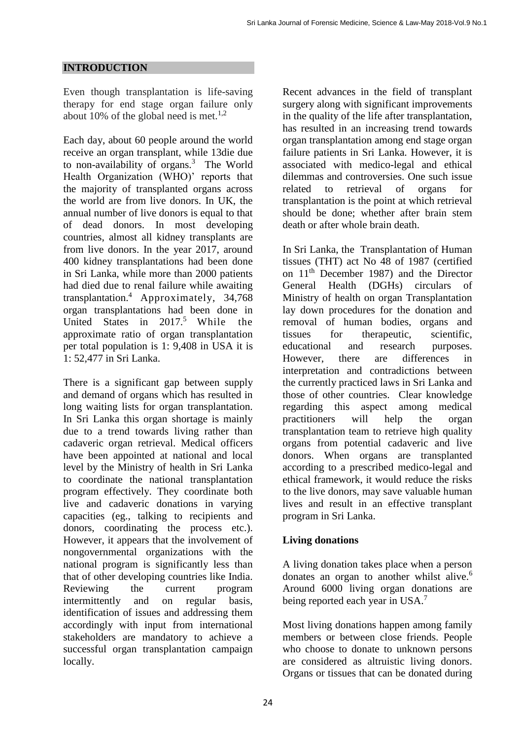#### **INTRODUCTION**

Even though transplantation is life-saving therapy for end stage organ failure only about 10% of the global need is met.<sup>1,2</sup>

Each day, about 60 people around the world receive an organ transplant, while 13die due to non-availability of organs.<sup>3</sup> The World Health Organization (WHO)' reports that the majority of transplanted organs across the world are from live donors. In UK, the annual number of live donors is equal to that of dead donors. In most developing countries, almost all kidney transplants are from live donors. In the year 2017, around 400 kidney transplantations had been done in Sri Lanka, while more than 2000 patients had died due to renal failure while awaiting transplantation.<sup>4</sup> Approximately, 34,768 organ transplantations had been done in United States in 2017.<sup>5</sup> While the approximate ratio of organ transplantation per total population is 1: 9,408 in USA it is 1: 52,477 in Sri Lanka.

There is a significant gap between supply and demand of organs which has resulted in long waiting lists for organ transplantation. In Sri Lanka this organ shortage is mainly due to a trend towards living rather than cadaveric organ retrieval. Medical officers have been appointed at national and local level by the Ministry of health in Sri Lanka to coordinate the national transplantation program effectively. They coordinate both live and cadaveric donations in varying capacities (eg., talking to recipients and donors, coordinating the process etc.). However, it appears that the involvement of nongovernmental organizations with the national program is significantly less than that of other developing countries like India. Reviewing the current program intermittently and on regular basis, identification of issues and addressing them accordingly with input from international stakeholders are mandatory to achieve a successful organ transplantation campaign locally.

Recent advances in the field of transplant surgery along with significant improvements in the quality of the life after transplantation, has resulted in an increasing trend towards organ transplantation among end stage organ failure patients in Sri Lanka. However, it is associated with medico-legal and ethical dilemmas and controversies. One such issue related to retrieval of organs for transplantation is the point at which retrieval should be done; whether after brain stem death or after whole brain death.

In Sri Lanka, the Transplantation of Human tissues (THT) act No 48 of 1987 (certified on 11th December 1987) and the Director General Health (DGHs) circulars of Ministry of health on organ Transplantation lay down procedures for the donation and removal of human bodies, organs and tissues for therapeutic, scientific, educational and research purposes. However, there are differences in interpretation and contradictions between the currently practiced laws in Sri Lanka and those of other countries. Clear knowledge regarding this aspect among medical practitioners will help the organ transplantation team to retrieve high quality organs from potential cadaveric and live donors. When organs are transplanted according to a prescribed medico-legal and ethical framework, it would reduce the risks to the live donors, may save valuable human lives and result in an effective transplant program in Sri Lanka.

#### **Living donations**

A living donation takes place when a person donates an organ to another whilst alive.<sup>6</sup> Around 6000 living organ donations are being reported each year in USA.<sup>7</sup>

Most living donations happen among family members or between close friends. People who choose to donate to unknown persons are considered as altruistic living donors. Organs or tissues that can be donated during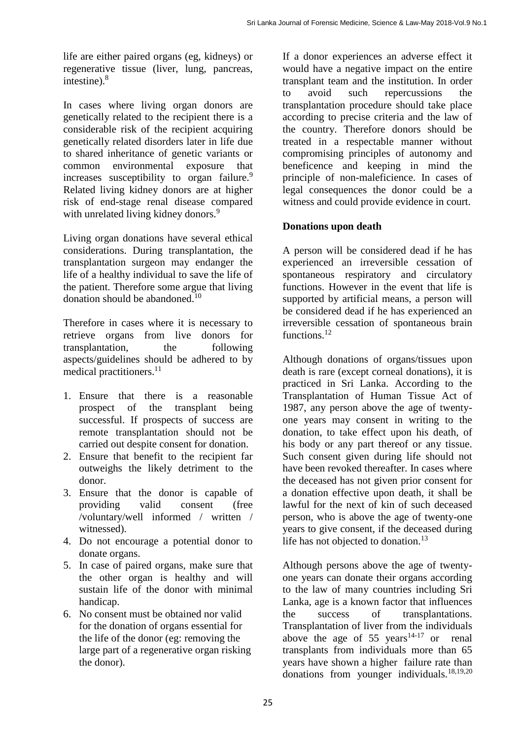life are either paired organs (eg, kidneys) or regenerative tissue (liver, lung, pancreas, intestine).<sup>8</sup>

In cases where living organ donors are genetically related to the recipient there is a considerable risk of the recipient acquiring genetically related disorders later in life due to shared inheritance of genetic variants or common environmental exposure that increases susceptibility to organ failure.<sup>9</sup> Related living kidney donors are at higher risk of end-stage renal disease compared with unrelated living kidney donors.<sup>9</sup>

Living organ donations have several ethical considerations. During transplantation, the transplantation surgeon may endanger the life of a healthy individual to save the life of the patient. Therefore some argue that living donation should be abandoned.<sup>10</sup>

Therefore in cases where it is necessary to retrieve organs from live donors for transplantation, the following aspects/guidelines should be adhered to by medical practitioners.<sup>11</sup>

- 1. Ensure that there is a reasonable prospect of the transplant being successful. If prospects of success are remote transplantation should not be carried out despite consent for donation.
- 2. Ensure that benefit to the recipient far outweighs the likely detriment to the donor.
- 3. Ensure that the donor is capable of providing valid consent (free /voluntary/well informed / written / witnessed).
- 4. Do not encourage a potential donor to donate organs.
- 5. In case of paired organs, make sure that the other organ is healthy and will sustain life of the donor with minimal handicap.
- 6. No consent must be obtained nor valid for the donation of organs essential for the life of the donor (eg: removing the large part of a regenerative organ risking the donor).

If a donor experiences an adverse effect it would have a negative impact on the entire transplant team and the institution. In order to avoid such repercussions the transplantation procedure should take place according to precise criteria and the law of the country. Therefore donors should be treated in a respectable manner without compromising principles of autonomy and beneficence and keeping in mind the principle of non-maleficience. In cases of legal consequences the donor could be a witness and could provide evidence in court.

## **Donations upon death**

A person will be considered dead if he has experienced an irreversible cessation of spontaneous respiratory and circulatory functions. However in the event that life is supported by artificial means, a person will be considered dead if he has experienced an irreversible cessation of spontaneous brain functions.<sup>12</sup>

Although donations of organs/tissues upon death is rare (except corneal donations), it is practiced in Sri Lanka. According to the Transplantation of Human Tissue Act of 1987, any person above the age of twentyone years may consent in writing to the donation, to take effect upon his death, of his body or any part thereof or any tissue. Such consent given during life should not have been revoked thereafter. In cases where the deceased has not given prior consent for a donation effective upon death, it shall be lawful for the next of kin of such deceased person, who is above the age of twenty-one years to give consent, if the deceased during life has not objected to donation. $13$ 

Although persons above the age of twentyone years can donate their organs according to the law of many countries including Sri Lanka, age is a known factor that influences the success of transplantations. Transplantation of liver from the individuals above the age of 55 years<sup>14-17</sup> or renal transplants from individuals more than 65 years have shown a higher failure rate than donations from younger individuals. $18,19,20$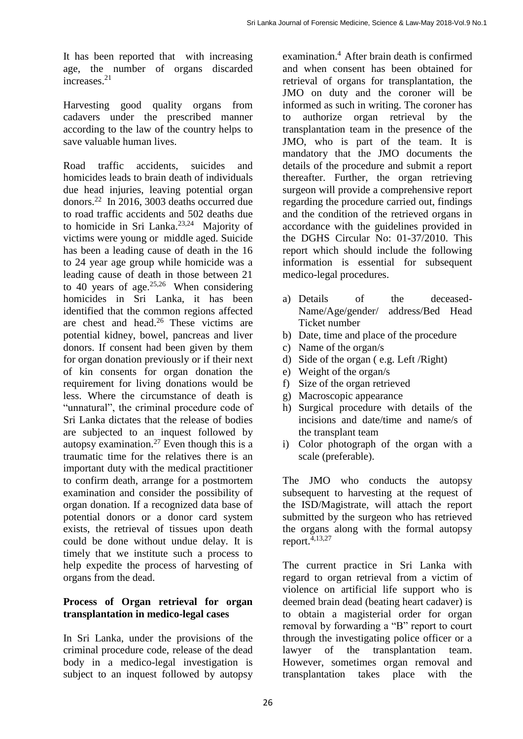It has been reported that with increasing age, the number of organs discarded increases.<sup>21</sup>

Harvesting good quality organs from cadavers under the prescribed manner according to the law of the country helps to save valuable human lives.

Road traffic accidents, suicides and homicides leads to brain death of individuals due head injuries, leaving potential organ donors.<sup>22</sup> In 2016, 3003 deaths occurred due to road traffic accidents and 502 deaths due to homicide in Sri Lanka.23,24 Majority of victims were young or middle aged. Suicide has been a leading cause of death in the 16 to 24 year age group while homicide was a leading cause of death in those between 21 to 40 years of age.<sup>25,26</sup> When considering homicides in Sri Lanka, it has been identified that the common regions affected are chest and head.<sup>26</sup> These victims are potential kidney, bowel, pancreas and liver donors. If consent had been given by them for organ donation previously or if their next of kin consents for organ donation the requirement for living donations would be less. Where the circumstance of death is "unnatural", the criminal procedure code of Sri Lanka dictates that the release of bodies are subjected to an inquest followed by autopsy examination.<sup>27</sup> Even though this is a traumatic time for the relatives there is an important duty with the medical practitioner to confirm death, arrange for a postmortem examination and consider the possibility of organ donation. If a recognized data base of potential donors or a donor card system exists, the retrieval of tissues upon death could be done without undue delay. It is timely that we institute such a process to help expedite the process of harvesting of organs from the dead.

#### **Process of Organ retrieval for organ transplantation in medico-legal cases**

In Sri Lanka, under the provisions of the criminal procedure code, release of the dead body in a medico-legal investigation is subject to an inquest followed by autopsy

examination. <sup>4</sup>After brain death is confirmed and when consent has been obtained for retrieval of organs for transplantation, the JMO on duty and the coroner will be informed as such in writing. The coroner has to authorize organ retrieval by the transplantation team in the presence of the JMO, who is part of the team. It is mandatory that the JMO documents the details of the procedure and submit a report thereafter. Further, the organ retrieving surgeon will provide a comprehensive report regarding the procedure carried out, findings and the condition of the retrieved organs in accordance with the guidelines provided in the DGHS Circular No: 01-37/2010. This report which should include the following information is essential for subsequent medico-legal procedures.

- a) Details of the deceased-Name/Age/gender/ address/Bed Head Ticket number
- b) Date, time and place of the procedure
- c) Name of the organ/s
- d) Side of the organ ( e.g. Left /Right)
- e) Weight of the organ/s
- f) Size of the organ retrieved
- g) Macroscopic appearance
- h) Surgical procedure with details of the incisions and date/time and name/s of the transplant team
- i) Color photograph of the organ with a scale (preferable).

The JMO who conducts the autopsy subsequent to harvesting at the request of the ISD/Magistrate, will attach the report submitted by the surgeon who has retrieved the organs along with the formal autopsy report.4,13,27

The current practice in Sri Lanka with regard to organ retrieval from a victim of violence on artificial life support who is deemed brain dead (beating heart cadaver) is to obtain a magisterial order for organ removal by forwarding a "B" report to court through the investigating police officer or a lawyer of the transplantation team. However, sometimes organ removal and transplantation takes place with the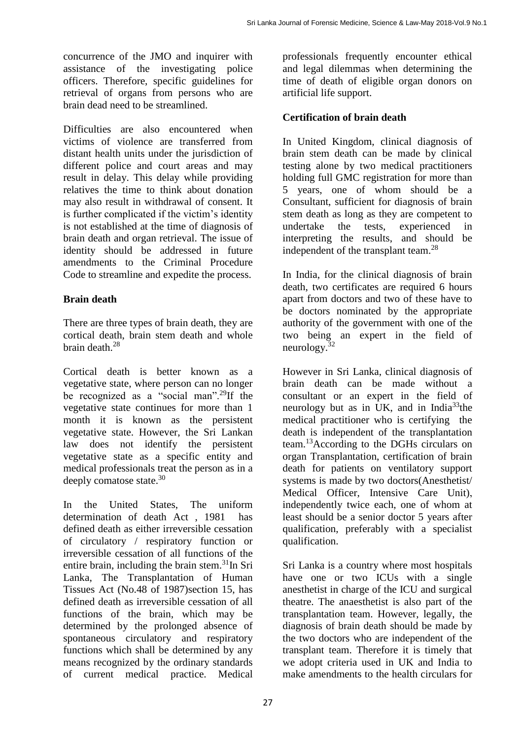concurrence of the JMO and inquirer with assistance of the investigating police officers. Therefore, specific guidelines for retrieval of organs from persons who are brain dead need to be streamlined.

Difficulties are also encountered when victims of violence are transferred from distant health units under the jurisdiction of different police and court areas and may result in delay. This delay while providing relatives the time to think about donation may also result in withdrawal of consent. It is further complicated if the victim's identity is not established at the time of diagnosis of brain death and organ retrieval. The issue of identity should be addressed in future amendments to the Criminal Procedure Code to streamline and expedite the process.

## **Brain death**

There are three types of brain death, they are cortical death, brain stem death and whole brain death.<sup>28</sup>

Cortical death is better known as a vegetative state, where person can no longer be recognized as a "social man".<sup>29</sup>If the vegetative state continues for more than 1 month it is known as the persistent vegetative state. However, the Sri Lankan law does not identify the persistent vegetative state as a specific entity and medical professionals treat the person as in a deeply comatose state.<sup>30</sup>

In the United States, The uniform determination of death Act , 1981 has defined death as either irreversible cessation of circulatory / respiratory function or irreversible cessation of all functions of the entire brain, including the brain stem.<sup>31</sup>In Sri Lanka, The Transplantation of Human Tissues Act (No.48 of 1987)section 15, has defined death as irreversible cessation of all functions of the brain, which may be determined by the prolonged absence of spontaneous circulatory and respiratory functions which shall be determined by any means recognized by the ordinary standards of current medical practice. Medical

professionals frequently encounter ethical and legal dilemmas when determining the time of death of eligible organ donors on artificial life support.

## **Certification of brain death**

In United Kingdom, clinical diagnosis of brain stem death can be made by clinical testing alone by two medical practitioners holding full GMC registration for more than 5 years, one of whom should be a Consultant, sufficient for diagnosis of brain stem death as long as they are competent to undertake the tests, experienced in interpreting the results, and should be independent of the transplant team.<sup>28</sup>

In India, for the clinical diagnosis of brain death, two certificates are required 6 hours apart from doctors and two of these have to be doctors nominated by the appropriate authority of the government with one of the two being an expert in the field of neurology.<sup>32</sup>

However in Sri Lanka, clinical diagnosis of brain death can be made without a consultant or an expert in the field of neurology but as in UK, and in India<sup>33</sup>the medical practitioner who is certifying the death is independent of the transplantation team.<sup>13</sup>According to the DGHs circulars on organ Transplantation, certification of brain death for patients on ventilatory support systems is made by two doctors(Anesthetist/ Medical Officer, Intensive Care Unit), independently twice each, one of whom at least should be a senior doctor 5 years after qualification, preferably with a specialist qualification.

Sri Lanka is a country where most hospitals have one or two ICUs with a single anesthetist in charge of the ICU and surgical theatre. The anaesthetist is also part of the transplantation team. However, legally, the diagnosis of brain death should be made by the two doctors who are independent of the transplant team. Therefore it is timely that we adopt criteria used in UK and India to make amendments to the health circulars for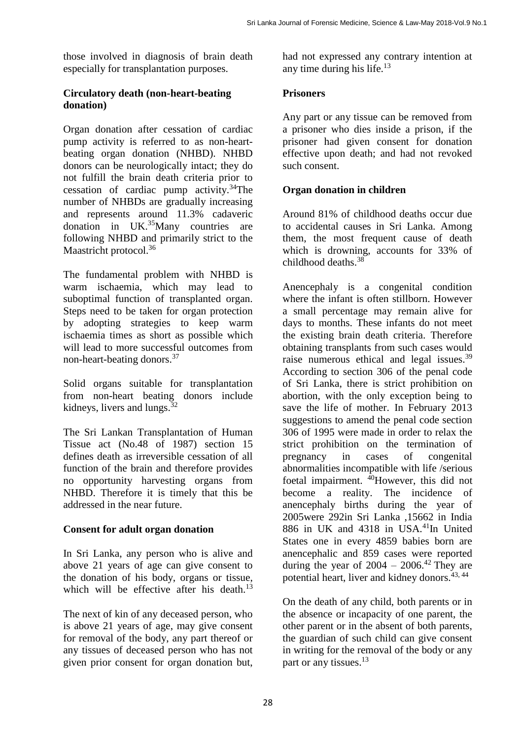those involved in diagnosis of brain death especially for transplantation purposes.

#### **Circulatory death (non-heart-beating donation)**

Organ donation after cessation of cardiac pump activity is referred to as non-heartbeating organ donation (NHBD). NHBD donors can be neurologically intact; they do not fulfill the brain death criteria prior to cessation of cardiac pump activity.<sup>34</sup>The number of NHBDs are gradually increasing and represents around 11.3% cadaveric donation in UK.<sup>35</sup>Many countries are following NHBD and primarily strict to the Maastricht protocol.<sup>36</sup>

The fundamental problem with NHBD is warm ischaemia, which may lead to suboptimal function of transplanted organ. Steps need to be taken for organ protection by adopting strategies to keep warm ischaemia times as short as possible which will lead to more successful outcomes from non-heart-beating donors.<sup>37</sup>

Solid organs suitable for transplantation from non-heart beating donors include kidneys, livers and lungs.<sup>32</sup>

The Sri Lankan Transplantation of Human Tissue act (No.48 of 1987) section 15 defines death as irreversible cessation of all function of the brain and therefore provides no opportunity harvesting organs from NHBD. Therefore it is timely that this be addressed in the near future.

### **Consent for adult organ donation**

In Sri Lanka, any person who is alive and above 21 years of age can give consent to the donation of his body, organs or tissue, which will be effective after his death.<sup>13</sup>

The next of kin of any deceased person, who is above 21 years of age, may give consent for removal of the body, any part thereof or any tissues of deceased person who has not given prior consent for organ donation but,

had not expressed any contrary intention at any time during his life. $13$ 

### **Prisoners**

Any part or any tissue can be removed from a prisoner who dies inside a prison, if the prisoner had given consent for donation effective upon death; and had not revoked such consent.

## **Organ donation in children**

Around 81% of childhood deaths occur due to accidental causes in Sri Lanka. Among them, the most frequent cause of death which is drowning, accounts for 33% of childhood deaths.<sup>38</sup>

Anencephaly is a congenital condition where the infant is often stillborn. However a small percentage may remain alive for days to months. These infants do not meet the existing brain death criteria. Therefore obtaining transplants from such cases would raise numerous ethical and legal issues.<sup>39</sup> According to section 306 of the penal code of Sri Lanka, there is strict prohibition on abortion, with the only exception being to save the life of mother. In February 2013 suggestions to amend the penal code section 306 of 1995 were made in order to relax the strict prohibition on the termination of pregnancy in cases of congenital abnormalities incompatible with life /serious foetal impairment.  $^{40}$ However, this did not become a reality. The incidence of anencephaly births during the year of 2005were 292in Sri Lanka ,15662 in India 886 in UK and 4318 in USA.<sup>41</sup>In United States one in every 4859 babies born are anencephalic and 859 cases were reported during the year of  $2004 - 2006$ .<sup>42</sup> They are potential heart, liver and kidney donors.<sup>43, 44</sup>

On the death of any child, both parents or in the absence or incapacity of one parent, the other parent or in the absent of both parents, the guardian of such child can give consent in writing for the removal of the body or any part or any tissues.<sup>13</sup>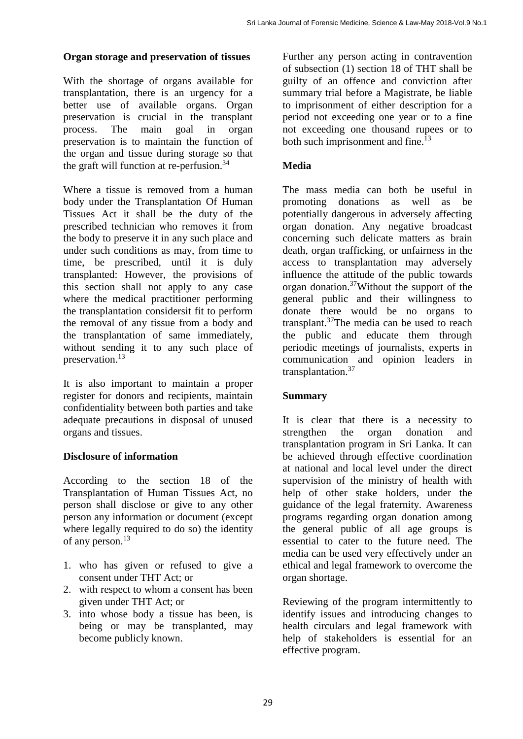#### **Organ storage and preservation of tissues**

With the shortage of organs available for transplantation, there is an urgency for a better use of available organs. Organ preservation is crucial in the transplant process. The main goal in organ preservation is to maintain the function of the organ and tissue during storage so that the graft will function at re-perfusion.<sup>34</sup>

Where a tissue is removed from a human body under the Transplantation Of Human Tissues Act it shall be the duty of the prescribed technician who removes it from the body to preserve it in any such place and under such conditions as may, from time to time, be prescribed, until it is duly transplanted: However, the provisions of this section shall not apply to any case where the medical practitioner performing the transplantation considersit fit to perform the removal of any tissue from a body and the transplantation of same immediately, without sending it to any such place of preservation.<sup>13</sup>

It is also important to maintain a proper register for donors and recipients, maintain confidentiality between both parties and take adequate precautions in disposal of unused organs and tissues.

#### **Disclosure of information**

According to the section 18 of the Transplantation of Human Tissues Act, no person shall disclose or give to any other person any information or document (except where legally required to do so) the identity of any person.<sup>13</sup>

- 1. who has given or refused to give a consent under THT Act; or
- 2. with respect to whom a consent has been given under THT Act; or
- 3. into whose body a tissue has been, is being or may be transplanted, may become publicly known.

Further any person acting in contravention of subsection (1) section 18 of THT shall be guilty of an offence and conviction after summary trial before a Magistrate, be liable to imprisonment of either description for a period not exceeding one year or to a fine not exceeding one thousand rupees or to both such imprisonment and fine.<sup>13</sup>

### **Media**

The mass media can both be useful in promoting donations as well as be potentially dangerous in adversely affecting organ donation. Any negative broadcast concerning such delicate matters as brain death, organ trafficking, or unfairness in the access to transplantation may adversely influence the attitude of the public towards organ donation.<sup>37</sup>Without the support of the general public and their willingness to donate there would be no organs to transplant.<sup>37</sup>The media can be used to reach the public and educate them through periodic meetings of journalists, experts in communication and opinion leaders in transplantation.<sup>37</sup>

#### **Summary**

It is clear that there is a necessity to strengthen the organ donation and transplantation program in Sri Lanka. It can be achieved through effective coordination at national and local level under the direct supervision of the ministry of health with help of other stake holders, under the guidance of the legal fraternity. Awareness programs regarding organ donation among the general public of all age groups is essential to cater to the future need. The media can be used very effectively under an ethical and legal framework to overcome the organ shortage.

Reviewing of the program intermittently to identify issues and introducing changes to health circulars and legal framework with help of stakeholders is essential for an effective program.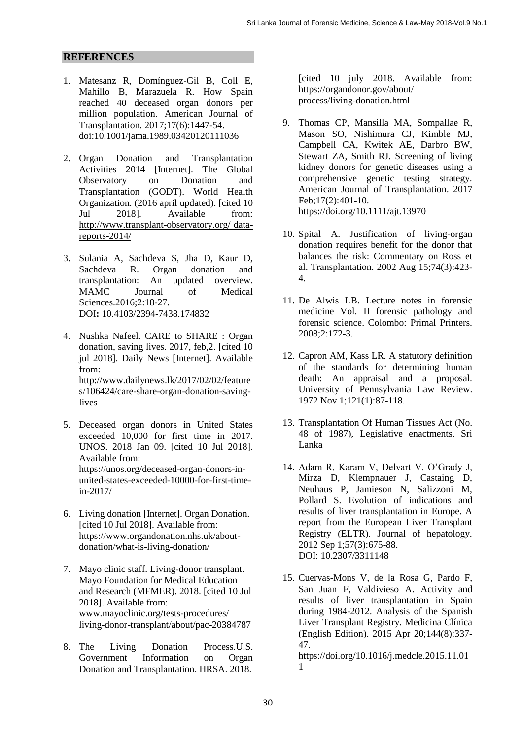#### **REFERENCES**

- 1. Matesanz R, Domínguez‐Gil B, Coll E, Mahíllo B, Marazuela R. How Spain reached 40 deceased organ donors per million population. American Journal of Transplantation. 2017;17(6):1447-54. doi:10.1001/jama.1989.03420120111036
- 2. Organ Donation and Transplantation Activities 2014 [Internet]. The Global Observatory on Donation and Transplantation (GODT). World Health Organization. (2016 april updated). [cited 10 Jul 2018]. Available from: [http://www.transplant-observatory.org/ data](http://www.transplant-observatory.org/%20data-reports-2014/)[reports-2014/](http://www.transplant-observatory.org/%20data-reports-2014/)
- 3. Sulania A, Sachdeva S, Jha D, Kaur D, Sachdeva R. Organ donation and transplantation: An updated overview*.*  MAMC Journal of Medical Sciences.2016;2:18-27. DOI**:** 10.4103/2394-7438.174832
- 4. Nushka Nafeel. CARE to SHARE : Organ donation, saving lives. 2017, feb,2. [cited 10 jul 2018]. Daily News [Internet]. Available from: http://www.dailynews.lk/2017/02/02/feature s/106424/care-share-organ-donation-savinglives
- 5. Deceased organ donors in United States exceeded 10,000 for first time in 2017. UNOS. 2018 Jan 09. [cited 10 Jul 2018]. Available from: https://unos.org/deceased-organ-donors-inunited-states-exceeded-10000-for-first-timein-2017/
- 6. Living donation [Internet]. Organ Donation. [cited 10 Jul 2018]. Available from: https://www.organdonation.nhs.uk/aboutdonation/what-is-living-donation/
- 7. Mayo clinic staff. Living-donor transplant. Mayo Foundation for Medical Education and Research (MFMER). 2018. [cited 10 Jul 2018]. Available from: www.mayoclinic.org/tests-procedures/ living-donor-transplant/about/pac-20384787
- 8. The Living Donation Process.U.S. Government Information on Organ Donation and Transplantation. HRSA. 2018.

[cited 10 july 2018. Available from: https://organdonor.gov/about/ process/living-donation.html

- 9. Thomas CP, Mansilla MA, Sompallae R, Mason SO, Nishimura CJ, Kimble MJ, Campbell CA, Kwitek AE, Darbro BW, Stewart ZA, Smith RJ. Screening of living kidney donors for genetic diseases using a comprehensive genetic testing strategy. American Journal of Transplantation. 2017 Feb;17(2):401-10. https://doi.org/10.1111/ajt.13970
- 10. Spital A. Justification of living-organ donation requires benefit for the donor that balances the risk: Commentary on Ross et al. Transplantation. 2002 Aug 15;74(3):423- 4.
- 11. De Alwis LB. Lecture notes in forensic medicine Vol. II forensic pathology and forensic science. Colombo: Primal Printers. 2008;2:172-3.
- 12. Capron AM, Kass LR. A statutory definition of the standards for determining human death: An appraisal and a proposal. University of Pennsylvania Law Review. 1972 Nov 1;121(1):87-118.
- 13. Transplantation Of Human Tissues Act (No. 48 of 1987), Legislative enactments, Sri Lanka
- 14. Adam R, Karam V, Delvart V, O'Grady J, Mirza D, Klempnauer J, Castaing D, Neuhaus P, Jamieson N, Salizzoni M, Pollard S. Evolution of indications and results of liver transplantation in Europe. A report from the European Liver Transplant Registry (ELTR). Journal of hepatology. 2012 Sep 1;57(3):675-88. DOI: 10.2307/3311148
- 15. Cuervas-Mons V, de la Rosa G, Pardo F, San Juan F, Valdivieso A. Activity and results of liver transplantation in Spain during 1984-2012. Analysis of the Spanish Liver Transplant Registry. Medicina Clínica (English Edition). 2015 Apr 20;144(8):337- 47.

https://doi.org/10.1016/j.medcle.2015.11.01 1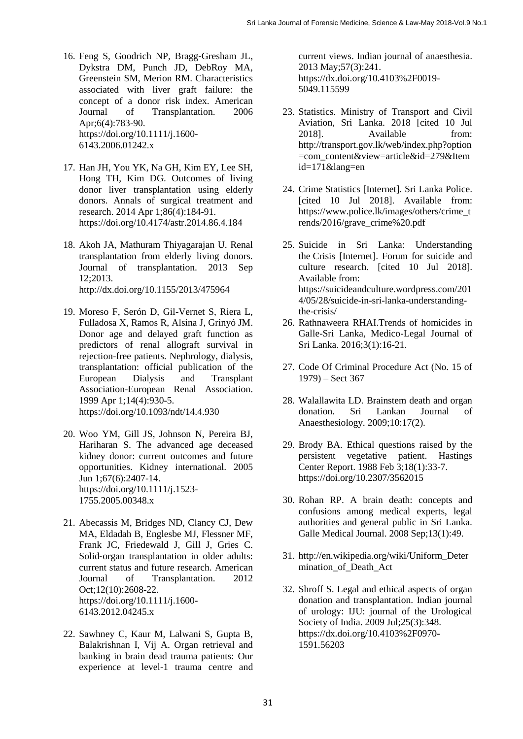- 16. Feng S, Goodrich NP, Bragg‐Gresham JL, Dykstra DM, Punch JD, DebRoy MA, Greenstein SM, Merion RM. Characteristics associated with liver graft failure: the concept of a donor risk index. American Journal of Transplantation. 2006 Apr;6(4):783-90. https://doi.org/10.1111/j.1600- 6143.2006.01242.x
- 17. Han JH, You YK, Na GH, Kim EY, Lee SH, Hong TH, Kim DG. Outcomes of living donor liver transplantation using elderly donors. Annals of surgical treatment and research. 2014 Apr 1;86(4):184-91. https://doi.org/10.4174/astr.2014.86.4.184
- 18. Akoh JA, Mathuram Thiyagarajan U. Renal transplantation from elderly living donors. Journal of transplantation. 2013 Sep 12;2013. http://dx.doi.org/10.1155/2013/475964
- 19. Moreso F, Serón D, Gil-Vernet S, Riera L, Fulladosa X, Ramos R, Alsina J, Grinyó JM. Donor age and delayed graft function as predictors of renal allograft survival in rejection-free patients. Nephrology, dialysis, transplantation: official publication of the European Dialysis and Transplant Association-European Renal Association. 1999 Apr 1;14(4):930-5. https://doi.org/10.1093/ndt/14.4.930
- 20. Woo YM, Gill JS, Johnson N, Pereira BJ, Hariharan S. The advanced age deceased kidney donor: current outcomes and future opportunities. Kidney international. 2005 Jun 1;67(6):2407-14. https://doi.org/10.1111/j.1523- 1755.2005.00348.x
- 21. Abecassis M, Bridges ND, Clancy CJ, Dew MA, Eldadah B, Englesbe MJ, Flessner MF, Frank JC, Friedewald J, Gill J, Gries C. Solid‐organ transplantation in older adults: current status and future research. American Journal of Transplantation. 2012 Oct;12(10):2608-22. https://doi.org/10.1111/j.1600- 6143.2012.04245.x
- 22. Sawhney C, Kaur M, Lalwani S, Gupta B, Balakrishnan I, Vij A. Organ retrieval and banking in brain dead trauma patients: Our experience at level-1 trauma centre and

current views. Indian journal of anaesthesia. 2013 May;57(3):241. https://dx.doi.org/10.4103%2F0019- 5049.115599

- 23. Statistics. Ministry of Transport and Civil Aviation, Sri Lanka. 2018 [cited 10 Jul 2018]. Available from: [http://transport.gov.lk/web/index.php?option](http://transport.gov.lk/web/index.php?option=com_content&view=article&id=279&Itemid=171&lang=en) [=com\\_content&view=article&id=279&Item](http://transport.gov.lk/web/index.php?option=com_content&view=article&id=279&Itemid=171&lang=en) [id=171&lang=en](http://transport.gov.lk/web/index.php?option=com_content&view=article&id=279&Itemid=171&lang=en)
- 24. Crime Statistics [Internet]. Sri Lanka Police. [cited 10 Jul 2018]. Available from: [https://www.police.lk/images/others/crime\\_t](https://www.police.lk/images/others/crime_trends/2016/grave_crime%20.pdf) [rends/2016/grave\\_crime%20.pdf](https://www.police.lk/images/others/crime_trends/2016/grave_crime%20.pdf)
- 25. Suicide in Sri Lanka: Understanding the Crisis [Internet]. Forum for suicide and culture research. [cited 10 Jul 2018]. Available from: https://suicideandculture.wordpress.com/201 4/05/28/suicide-in-sri-lanka-understandingthe-crisis/
- 26. Rathnaweera RHAI.Trends of homicides in Galle-Sri Lanka, Medico-Legal Journal of Sri Lanka. 2016;3(1):16-21.
- 27. Code Of Criminal Procedure Act (No. 15 of 1979) – Sect 367
- 28. Walallawita LD. Brainstem death and organ donation. Sri Lankan Journal of Anaesthesiology. 2009;10:17(2).
- 29. Brody BA. Ethical questions raised by the persistent vegetative patient. Hastings Center Report. 1988 Feb 3;18(1):33-7. https://doi.org/10.2307/3562015
- 30. Rohan RP. A brain death: concepts and confusions among medical experts, legal authorities and general public in Sri Lanka. Galle Medical Journal. 2008 Sep;13(1):49.
- 31. [http://en.wikipedia.org/wiki/Uniform\\_Deter](http://en.wikipedia.org/wiki/Uniform_Determination_of_Death_Act) [mination\\_of\\_Death\\_Act](http://en.wikipedia.org/wiki/Uniform_Determination_of_Death_Act)
- 32. Shroff S. Legal and ethical aspects of organ donation and transplantation. Indian journal of urology: IJU: journal of the Urological Society of India. 2009 Jul;25(3):348. https://dx.doi.org/10.4103%2F0970- 1591.56203